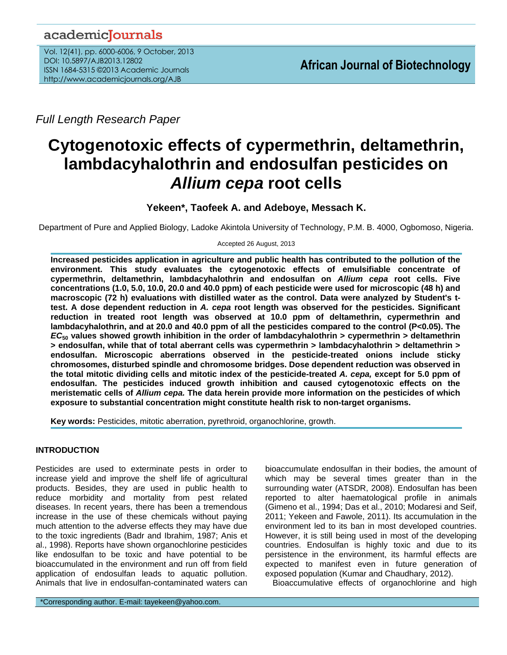## academiclournals

Vol. 12(41), pp. 6000-6006, 9 October, 2013 DOI: 10.5897/AJB2013.12802 ISSN 1684-5315 ©2013 Academic Journals http://www.academicjournals.org/AJB

*Full Length Research Paper*

# **Cytogenotoxic effects of cypermethrin, deltamethrin, lambdacyhalothrin and endosulfan pesticides on**  *Allium cepa* **root cells**

## **Yekeen\*, Taofeek A. and Adeboye, Messach K.**

Department of Pure and Applied Biology, Ladoke Akintola University of Technology, P.M. B. 4000, Ogbomoso, Nigeria.

Accepted 26 August, 2013

**Increased pesticides application in agriculture and public health has contributed to the pollution of the environment. This study evaluates the cytogenotoxic effects of emulsifiable concentrate of cypermethrin, deltamethrin, lambdacyhalothrin and endosulfan on** *Allium cepa* **root cells. Five concentrations (1.0, 5.0, 10.0, 20.0 and 40.0 ppm) of each pesticide were used for microscopic (48 h) and macroscopic (72 h) evaluations with distilled water as the control. Data were analyzed by Student's ttest. A dose dependent reduction in** *A. cepa* **root length was observed for the pesticides. Significant reduction in treated root length was observed at 10.0 ppm of deltamethrin, cypermethrin and lambdacyhalothrin, and at 20.0 and 40.0 ppm of all the pesticides compared to the control (P<0.05). The**  *EC***<sup>50</sup> values showed growth inhibition in the order of lambdacyhalothrin > cypermethrin > deltamethrin > endosulfan, while that of total aberrant cells was cypermethrin > lambdacyhalothrin > deltamethrin > endosulfan. Microscopic aberrations observed in the pesticide-treated onions include sticky chromosomes, disturbed spindle and chromosome bridges. Dose dependent reduction was observed in the total mitotic dividing cells and mitotic index of the pesticide-treated** *A. cepa,* **except for 5.0 ppm of endosulfan. The pesticides induced growth inhibition and caused cytogenotoxic effects on the meristematic cells of** *Allium cepa.* **The data herein provide more information on the pesticides of which exposure to substantial concentration might constitute health risk to non-target organisms.** 

**Key words:** Pesticides, mitotic aberration, pyrethroid, organochlorine, growth.

### **INTRODUCTION**

Pesticides are used to exterminate pests in order to increase yield and improve the shelf life of agricultural products. Besides, they are used in public health to reduce morbidity and mortality from pest related diseases. In recent years, there has been a tremendous increase in the use of these chemicals without paying much attention to the adverse effects they may have due to the toxic ingredients (Badr and Ibrahim, 1987; Anis et al., 1998). Reports have shown organochlorine pesticides like endosulfan to be toxic and have potential to be bioaccumulated in the environment and run off from field application of endosulfan leads to aquatic pollution. Animals that live in endosulfan-contaminated waters can

bioaccumulate endosulfan in their bodies, the amount of which may be several times greater than in the surrounding water (ATSDR, 2008). Endosulfan has been reported to alter haematological profile in animals [\(Gimeno](http://www.sciencedirect.com/science/article/pii/0742841394000197) et al., 1994; Das et al., 2010; Modaresi and Seif, 2011; Yekeen and Fawole, 2011). Its accumulation in the environment led to its ban in most developed countries. However, it is still being used in most of the developing countries. Endosulfan is highly toxic and due to its persistence in the environment, its harmful effects are expected to manifest even in future generation of exposed population (Kumar and Chaudhary, 2012).

Bioaccumulative effects of organochlorine and high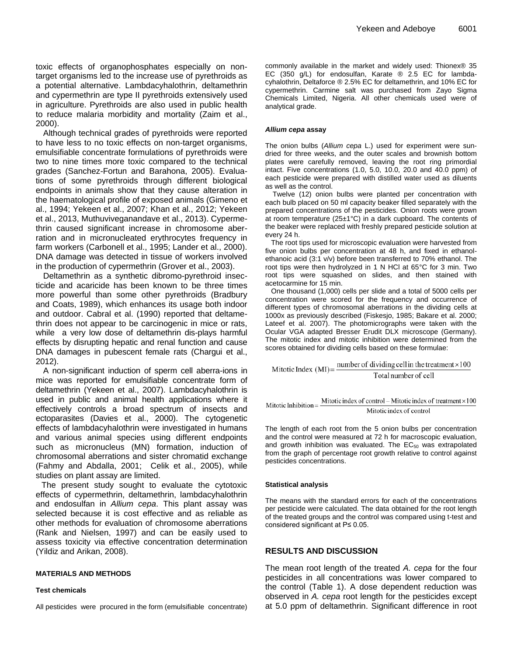toxic effects of organophosphates especially on nontarget organisms led to the increase use of pyrethroids as a potential alternative. Lambdacyhalothrin, deltamethrin and cypermethrin are type II pyrethroids extensively used in agriculture. Pyrethroids are also used in public health to reduce malaria morbidity and mortality (Zaim et al., 2000).

Although technical grades of pyrethroids were reported to have less to no toxic effects on non-target organisms, emulsifiable concentrate formulations of pyrethroids were two to nine times more toxic compared to the technical grades (Sanchez-Fortun and Barahona, 2005). Evaluations of some pyrethroids through different biological endpoints in animals show that they cause alteration in the haematological profile of exposed animals [\(Gimeno](http://www.sciencedirect.com/science/article/pii/0742841394000197) et al., 1994; Yekeen et al., 2007; Khan et al., 2012; Yekeen et al., 2013, Muthuviveganandave et al., 2013). Cypermethrin caused significant increase in chromosome aberration and in micronucleated erythrocytes frequency in farm workers (Carbonell et al., 1995; Lander et al., 2000). DNA damage was detected in tissue of workers involved in the production of cypermethrin (Grover et al., 2003).

Deltamethrin as a synthetic dibromo-pyrethroid insecticide and acaricide has been known to be three times more powerful than some other pyrethroids (Bradbury and Coats, 1989), which enhances its usage both indoor and outdoor. Cabral et al. (1990) reported that deltamethrin does not appear to be carcinogenic in mice or rats, while a very low dose of deltamethrin dis-plays harmful effects by disrupting hepatic and renal function and cause DNA damages in pubescent female rats (Chargui et al., 2012).

A non-significant induction of sperm cell aberra-ions in mice was reported for emulsifiable concentrate form of deltamethrin (Yekeen et al., 2007). Lambdacyhalothrin is used in public and animal health applications where it effectively controls a broad spectrum of insects and ectoparasites (Davies et al., 2000). The cytogenetic effects of lambdacyhalothrin were investigated in humans and various animal species using different endpoints such as micronucleus (MN) formation, induction of chromosomal aberrations and sister chromatid exchange (Fahmy and Abdalla, 2001; Celik et al., 2005), while studies on plant assay are limited.

The present study sought to evaluate the cytotoxic effects of cypermethrin, deltamethrin, lambdacyhalothrin and endosulfan in *Allium cepa*. This plant assay was selected because it is cost effective and as reliable as other methods for evaluation of chromosome aberrations (Rank and Nielsen, 1997) and can be easily used to assess toxicity via effective concentration determination (Yildiz and Arikan, 2008).

#### **MATERIALS AND METHODS**

#### **Test chemicals**

All pesticides were procured in the form (emulsifiable concentrate)

commonly available in the market and widely used: Thionex® 35 EC (350 g/L) for endosulfan, Karate ® 2.5 EC for lambdacyhalothrin, Deltaforce ® 2.5% EC for deltamethrin, and 10% EC for cypermethrin. Carmine salt was purchased from Zayo Sigma Chemicals Limited, Nigeria. All other chemicals used were of analytical grade.

#### *Allium cepa* **assay**

The onion bulbs (*Allium cepa* L.) used for experiment were sundried for three weeks, and the outer scales and brownish bottom plates were carefully removed, leaving the root ring primordial intact. Five concentrations (1.0, 5.0, 10.0, 20.0 and 40.0 ppm) of each pesticide were prepared with distilled water used as diluents as well as the control.

Twelve (12) onion bulbs were planted per concentration with each bulb placed on 50 ml capacity beaker filled separately with the prepared concentrations of the pesticides. Onion roots were grown at room temperature (25±1°C) in a dark cupboard. The contents of the beaker were replaced with freshly prepared pesticide solution at every 24 h.

The root tips used for microscopic evaluation were harvested from five onion bulbs per concentration at 48 h, and fixed in ethanolethanoic acid (3:1 v/v) before been transferred to 70% ethanol. The root tips were then hydrolyzed in 1 N HCl at 65°C for 3 min. Two root tips were squashed on slides, and then stained with acetocarmine for 15 min.

One thousand (1,000) cells per slide and a total of 5000 cells per concentration were scored for the frequency and occurrence of different types of chromosomal aberrations in the dividing cells at 1000x as previously described (Fiskesjo, 1985; Bakare et al. 2000; Lateef et al. 2007). The photomicrographs were taken with the Ocular VGA adapted Bresser Erudit DLX microscope (Germany). The mitotic index and mitotic inhibition were determined from the scores obtained for dividing cells based on these formulae:

number of dividing cell in the treatment ×100 Mitotic Index  $(MI)$ = Total number of cell

Mitotic Inhibition =  $\frac{\text{Mittotic index of control - Mittotic index of treatment} \times 100}{\text{Mittotic index of treatment}}$ Mitotic index of control

The length of each root from the 5 onion bulbs per concentration and the control were measured at 72 h for macroscopic evaluation, and growth inhibition was evaluated. The  $EC_{50}$  was extrapolated from the graph of percentage root growth relative to control against pesticides concentrations.

#### **Statistical analysis**

The means with the standard errors for each of the concentrations per pesticide were calculated. The data obtained for the root length of the treated groups and the control was compared using t-test and considered significant at P≤ 0.05.

#### **RESULTS AND DISCUSSION**

The mean root length of the treated *A. cepa* for the four pesticides in all concentrations was lower compared to the control (Table 1). A dose dependent reduction was observed in *A. cepa* root length for the pesticides except at 5.0 ppm of deltamethrin. Significant difference in root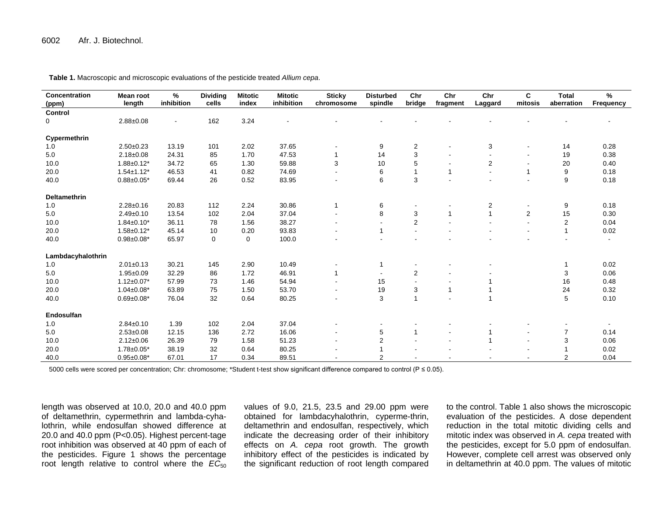| Concentration<br>(ppm) | <b>Mean root</b><br>length | %<br>inhibition | <b>Dividing</b><br>cells | <b>Mitotic</b><br>index | <b>Mitotic</b><br>inhibition | <b>Sticky</b><br>chromosome | <b>Disturbed</b><br>spindle | Chr<br>bridge  | Chr<br>fragment | Chr<br>Laggard           | C<br>mitosis   | <b>Total</b><br>aberration   | %<br>Frequency |
|------------------------|----------------------------|-----------------|--------------------------|-------------------------|------------------------------|-----------------------------|-----------------------------|----------------|-----------------|--------------------------|----------------|------------------------------|----------------|
| Control                |                            |                 |                          |                         |                              |                             |                             |                |                 |                          |                |                              |                |
| 0                      | $2.88 \pm 0.08$            | $\blacksquare$  | 162                      | 3.24                    |                              |                             |                             |                |                 |                          |                |                              |                |
|                        |                            |                 |                          |                         |                              |                             |                             |                |                 |                          |                |                              |                |
| Cypermethrin           |                            |                 |                          |                         |                              |                             |                             |                |                 |                          |                |                              |                |
| 1.0                    | $2.50 \pm 0.23$            | 13.19           | 101                      | 2.02                    | 37.65                        |                             | 9                           | $\overline{2}$ |                 | 3                        |                | 14                           | 0.28           |
| 5.0                    | $2.18 \pm 0.08$            | 24.31           | 85                       | 1.70                    | 47.53                        |                             | 14                          | 3              |                 |                          |                | 19                           | 0.38           |
| 10.0                   | $1.88 \pm 0.12^*$          | 34.72           | 65                       | 1.30                    | 59.88                        | 3                           | 10                          | 5              |                 | $\overline{2}$           |                | 20                           | 0.40           |
| 20.0                   | $1.54 \pm 1.12^*$          | 46.53           | 41                       | 0.82                    | 74.69                        |                             | 6                           |                | $\mathbf{1}$    |                          | 1              | 9                            | 0.18           |
| 40.0                   | $0.88 \pm 0.05*$           | 69.44           | 26                       | 0.52                    | 83.95                        |                             | 6                           | 3              |                 |                          |                | 9                            | 0.18           |
| <b>Deltamethrin</b>    |                            |                 |                          |                         |                              |                             |                             |                |                 |                          |                |                              |                |
| 1.0                    | $2.28 \pm 0.16$            | 20.83           | 112                      | 2.24                    | 30.86                        |                             | 6                           |                |                 | 2                        |                | 9                            | 0.18           |
| 5.0                    | $2.49 \pm 0.10$            | 13.54           | 102                      | 2.04                    | 37.04                        |                             | 8                           | 3              | $\mathbf{1}$    | $\overline{1}$           | $\overline{2}$ | 15                           | 0.30           |
| 10.0                   | $1.84 \pm 0.10^*$          | 36.11           | 78                       | 1.56                    | 38.27                        |                             |                             | $\overline{c}$ |                 |                          |                | $\overline{2}$               | 0.04           |
| 20.0                   | $1.58 \pm 0.12^*$          | 45.14           | 10                       | 0.20                    | 93.83                        |                             |                             |                |                 |                          |                | $\mathbf{1}$                 | 0.02           |
| 40.0                   | $0.98 \pm 0.08^*$          | 65.97           | $\mathbf 0$              | 0                       | 100.0                        |                             |                             |                |                 |                          |                |                              |                |
|                        |                            |                 |                          |                         |                              |                             |                             |                |                 |                          |                |                              |                |
| Lambdacyhalothrin      |                            |                 |                          |                         |                              |                             |                             |                |                 |                          |                |                              |                |
| 1.0                    | $2.01 \pm 0.13$            | 30.21           | 145                      | 2.90                    | 10.49                        |                             |                             |                |                 |                          |                | $\mathbf{1}$                 | 0.02           |
| 5.0                    | $1.95 \pm 0.09$            | 32.29           | 86                       | 1.72                    | 46.91                        |                             |                             | $\overline{2}$ |                 |                          |                | 3                            | 0.06           |
| 10.0                   | $1.12 \pm 0.07$ *          | 57.99           | 73                       | 1.46                    | 54.94                        |                             | 15                          |                |                 |                          |                | 16                           | 0.48           |
| 20.0                   | $1.04 \pm 0.08^*$          | 63.89           | 75                       | 1.50                    | 53.70                        |                             | 19                          | 3              | $\mathbf{1}$    |                          |                | 24                           | 0.32           |
| 40.0                   | $0.69 \pm 0.08*$           | 76.04           | 32                       | 0.64                    | 80.25                        |                             | 3                           | $\overline{1}$ |                 | $\overline{\phantom{a}}$ |                | $5\phantom{.0}$              | 0.10           |
| Endosulfan             |                            |                 |                          |                         |                              |                             |                             |                |                 |                          |                |                              |                |
| 1.0                    | $2.84 \pm 0.10$            | 1.39            | 102                      | 2.04                    | 37.04                        |                             |                             |                |                 |                          |                | $\qquad \qquad \blacksquare$ | $\sim$         |
| 5.0                    | $2.53 \pm 0.08$            | 12.15           | 136                      | 2.72                    | 16.06                        |                             | 5                           | 1              |                 | 1                        |                | $\overline{7}$               | 0.14           |
| 10.0                   | $2.12 \pm 0.06$            | 26.39           | 79                       | 1.58                    | 51.23                        |                             | 2                           |                |                 | $\overline{\phantom{a}}$ |                | 3                            | 0.06           |
| 20.0                   | $1.78 \pm 0.05^*$          | 38.19           | 32                       | 0.64                    | 80.25                        |                             |                             |                |                 |                          |                |                              | 0.02           |
| 40.0                   | $0.95 \pm 0.08*$           | 67.01           | 17                       | 0.34                    | 89.51                        |                             | $\overline{2}$              |                |                 |                          |                | 2                            | 0.04           |

**Table 1.** Macroscopic and microscopic evaluations of the pesticide treated *Allium cepa*.

5000 cells were scored per concentration; Chr: chromosome; \*Student t-test show significant difference compared to control (P ≤ 0.05).

length was observed at 10.0, 20.0 and 40.0 ppm of deltamethrin, cypermethrin and lambda-cyhalothrin, while endosulfan showed difference at 20.0 and 40.0 ppm (P<0.05). Highest percent-tage root inhibition was observed at 40 ppm of each of the pesticides. Figure 1 shows the percentage root length relative to control where the  $\overline{EC}_{50}$  values of 9.0, 21.5, 23.5 and 29.00 ppm were obtained for lambdacyhalothrin, cyperme-thrin, deltamethrin and endosulfan, respectively, which indicate the decreasing order of their inhibitory effects on *A. cepa* root growth. The growth inhibitory effect of the pesticides is indicated by the significant reduction of root length compared to the control. Table 1 also shows the microscopic evaluation of the pesticides. A dose dependent reduction in the total mitotic dividing cells and mitotic index was observed in *A. cepa* treated with the pesticides, except for 5.0 ppm of endosulfan. However, complete cell arrest was observed only in deltamethrin at 40.0 ppm. The values of mitotic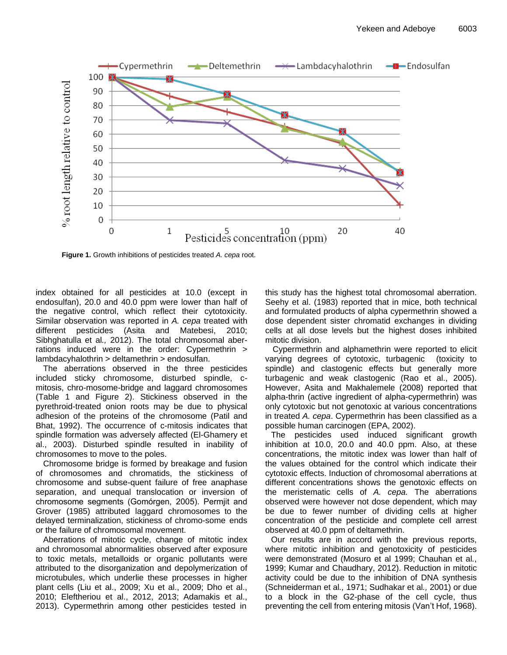

**Figure 1.** Growth inhibitions of pesticides treated *A. cepa* root.

index obtained for all pesticides at 10.0 (except in endosulfan), 20.0 and 40.0 ppm were lower than half of the negative control, which reflect their cytotoxicity. Similar observation was reported in *A. cepa* treated with different pesticides (Asita and Matebesi, 2010; Sibhghatulla et al*.,* 2012). The total chromosomal aberrations induced were in the order: Cypermethrin > lambdacyhalothrin > deltamethrin > endosulfan.

The aberrations observed in the three pesticides included sticky chromosome, disturbed spindle, cmitosis, chro-mosome-bridge and laggard chromosomes (Table 1 and Figure 2). Stickiness observed in the pyrethroid-treated onion roots may be due to physical adhesion of the proteins of the chromosome (Patil and Bhat, 1992). The occurrence of c-mitosis indicates that spindle formation was adversely affected (El-Ghamery et al., 2003). Disturbed spindle resulted in inability of chromosomes to move to the poles.

Chromosome bridge is formed by breakage and fusion of chromosomes and chromatids, the stickiness of chromosome and subse-quent failure of free anaphase separation, and unequal translocation or inversion of chromosome segments (Gomόrgen, 2005). Permjit and Grover (1985) attributed laggard chromosomes to the delayed terminalization, stickiness of chromo-some ends or the failure of chromosomal movement.

Aberrations of mitotic cycle, change of mitotic index and chromosomal abnormalities observed after exposure to toxic metals, metalloids or organic pollutants were attributed to the disorganization and depolymerization of microtubules, which underlie these processes in higher plant cells (Liu et al., 2009; Xu et al., 2009; Dho et al., 2010; Eleftheriou et al., 2012, 2013; Adamakis et al., 2013). Cypermethrin among other pesticides tested in

this study has the highest total chromosomal aberration. Seehy et al. (1983) reported that in mice, both technical and formulated products of alpha cypermethrin showed a dose dependent sister chromatid exchanges in dividing cells at all dose levels but the highest doses inhibited mitotic division.

Cypermethrin and alphamethrin were reported to elicit varying degrees of cytotoxic, turbagenic (toxicity to spindle) and clastogenic effects but generally more turbagenic and weak clastogenic (Rao et al., 2005). However, Asita and Makhalemele (2008) reported that alpha-thrin (active ingredient of alpha-cypermethrin) was only cytotoxic but not genotoxic at various concentrations in treated *A. cepa*. Cypermethrin has been classified as a possible human carcinogen (EPA, 2002).

The pesticides used induced significant growth inhibition at 10.0, 20.0 and 40.0 ppm. Also, at these concentrations, the mitotic index was lower than half of the values obtained for the control which indicate their cytotoxic effects. Induction of chromosomal aberrations at different concentrations shows the genotoxic effects on the meristematic cells of *A. cepa.* The aberrations observed were however not dose dependent, which may be due to fewer number of dividing cells at higher concentration of the pesticide and complete cell arrest observed at 40.0 ppm of deltamethrin.

Our results are in accord with the previous reports, where mitotic inhibition and genotoxicity of pesticides were demonstrated (Mosuro et al 1999; Chauhan et al*.*, 1999; Kumar and Chaudhary, 2012). Reduction in mitotic activity could be due to the inhibition of DNA synthesis (Schneiderman et al*.,* 1971; Sudhakar et al*.,* 2001) or due to a block in the G2-phase of the cell cycle, thus preventing the cell from entering mitosis (Van't Hof, 1968).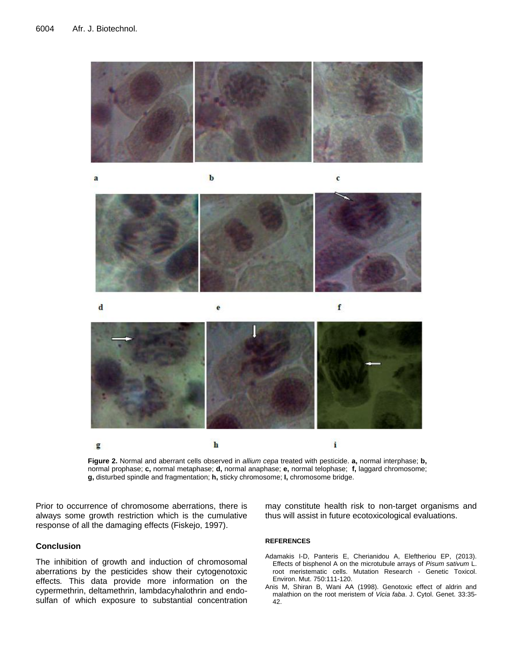

a

 $\mathbf b$ 



 $\mathbf c$ 

 $\mathbf d$ f  $\mathbf{e}$  $\mathbf{i}$  $\mathbf{h}$ 

**Figure 2.** Normal and aberrant cells observed in *allium cepa* treated with pesticide. **a,** normal interphase; **b,** normal prophase; **c,** normal metaphase; **d,** normal anaphase; **e,** normal telophase; **f,** laggard chromosome; **g,** disturbed spindle and fragmentation; **h,** sticky chromosome; **I,** chromosome bridge.

Prior to occurrence of chromosome aberrations, there is always some growth restriction which is the cumulative response of all the damaging effects (Fiskejo, 1997).

g

#### **Conclusion**

The inhibition of growth and induction of chromosomal aberrations by the pesticides show their cytogenotoxic effects*.* This data provide more information on the cypermethrin, deltamethrin, lambdacyhalothrin and endosulfan of which exposure to substantial concentration may constitute health risk to non-target organisms and thus will assist in future ecotoxicological evaluations.

#### **REFERENCES**

- Adamakis I-D, Panteris E, Cherianidou A, Eleftheriou EP, (2013). Effects of bisphenol A on the microtubule arrays of *Pisum sativum* L. root meristematic cells. Mutation Research - Genetic Toxicol. Environ. Mut. 750:111-120.
- Anis M, Shiran B, Wani AA (1998). Genotoxic effect of aldrin and malathion on the root meristem of *Vicia faba*. J. Cytol. Genet. 33:35- 42.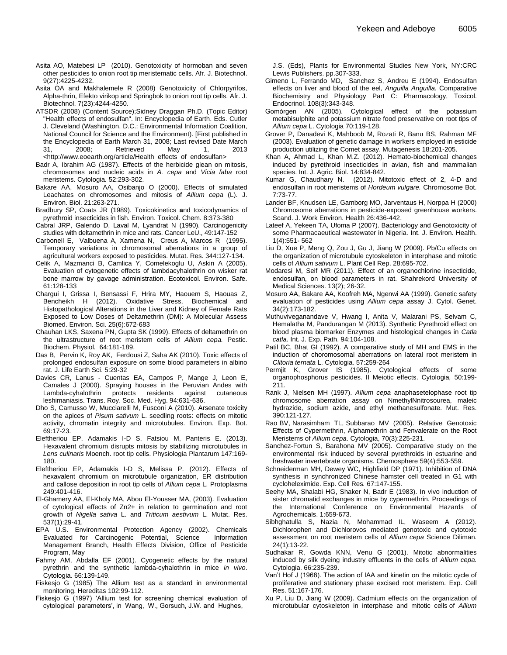Asita AO, Matebesi LP (2010). Genotoxicity of hormoban and seven other pesticides to onion root tip meristematic cells. Afr. J. Biotechnol. 9(27):4225-4232.

Asita OA and Makhalemele R (2008) Genotoxicity of Chlorpyrifos, Alpha-thrin, Efekto virikop and Springbok to onion root tip cells. Afr. J. Biotechnol. 7(23):4244-4250.

ATSDR (2008) (Content Source[\);Sidney Draggan Ph.D.](http://www.eoearth.org/profile/Sidney.draggan) (Topic Editor) "Health effects of endosulfan". In: Encyclopedia of Earth. Eds. Cutler J. Cleveland (Washington, D.C.: Environmental Information Coalition, National Council for Science and the Environment). [First published in the Encyclopedia of Earth March 31, 2008; Last revised Date March<br>31. 2008: Retrieved May 1. 2013 31, 2008; Retrieved May 1, 2013 [<http://www.eoearth.org/article/Health\\_effects\\_of\\_endosulfan>](http://www.eoearth.org/article/Health_effects_of_endosulfan)

Badr A, Ibrahim AG (1987). Effects of the herbicide glean on mitosis, chromosomes and nucleic acids in *A. cepa* and *Vicia faba* root meristems. Cytologia*.* 52:293-302.

Bakare AA, Mosuro AA, Osibanjo O (2000). Effects of simulated Leachates on chromosomes and mitosis of *Allium cepa* (L). J. Environ. Biol. 21:263-271.

Bradbury SP, Coats JR (1989). Toxicokinetics **a**nd toxicodynamics of pyrethroid insecticides in fish. Environ. Toxicol. Chem. 8:373-380

Cabral JRP, Galendo D, Laval M, Lyandrat N (1990). Carcinogenicity studies with deltamethrin in mice and rats. Cancer LeU., 49:147-152

Carbonell E, Valbuena A, Xamena N, Creus A, Marcos R (1995). Temporary variations in chromosomal aberrations in a group of agricultural workers exposed to pesticides. Mutat. Res. 344:127-134.

Celik A, Mazmanci B, Camlica Y, Comelekoglu U, Askin A (2005). Evaluation of cytogenetic effects of lambdacyhalothrin on wisker rat bone marrow by gavage administration. Ecotoxicol. Environ. Safe. 61:128-133

Chargui I, Grissa I, Bensassi F, Hrira MY, Haouem S, Haouas Z, Bencheikh H (2012). Oxidative Stress, Biochemical and Histopathological Alterations in the Liver and Kidney of Female Rats Exposed to Low Doses of Deltamethrin (DM): A Molecular Assess Biomed. Environ. Sci. 25(6):672‐683

Chauhan LKS, Saxena PN, Gupta SK (1999). Effects of deltamethrin on the ultrastructure of root meristem cells of *Allium cepa.* Pestic. Biochem. Physiol*.* 64:181-189.

Das B, Pervin K, Roy AK, Ferdousi Z, Saha AK (2010). Toxic effects of prolonged endosulfan exposure on some blood parameters in albino rat. J. Life Earth Sci. 5:29-32

Davies CR, Lanus - Cuentas EA, Campos P, Mange J, Leon E, Camales J (2000). Spraying houses in the Peruvian Andes with Lambda-cyhalothrin protects residents against cutaneous leshimaniasis. Trans. Roy. Soc. Med. Hyg. 94:631-636.

Dho S, Camusso W, Mucciarelli M, Fusconi A (2010). Arsenate toxicity on the apices of *Pisum sativum* L. seedling roots: effects on mitotic activity, chromatin integrity and microtubules. Environ. Exp. Bot. 69:17-23.

Eleftheriou EP, Adamakis I-D S, Fatsiou M, Panteris E. (2013). Hexavalent chromium disrupts mitosis by stabilizing microtubules in *Lens culinaris* Moench. root tip cells. Physiologia Plantarum 147:169- 180.

Eleftheriou EP, Adamakis I-D S, Melissa P. (2012). Effects of hexavalent chromium on microtubule organization, ER distribution and callose deposition in root tip cells of *Allium cepa* L. Protoplasma 249:401-416.

El-Ghamery AA, El-Kholy MA, Abou El-Yousser MA, (2003). Evaluation of cytological effects of Zn2+ in relation to germination and root growth of *Nigella sativa* L. and *Triticum aestivum* L. Mutat. Res. 537(1):29-41.

EPA U.S. Environmental Protection Agency (2002). Chemicals Evaluated for Carcinogenic Potential, Science Information Management Branch, Health Effects Division, Office of Pesticide Program, May

Fahmy AM, Abdalla EF (2001). Cyogenetic effects by the natural pyrethrin and the synthetic lambda-cyhalothrin in mice *in vivo*. Cytologia. 66:139-149.

Fiskesjo G (1985) The Allium test as a standard in environmental monitoring. Hereditas 102:99-112.

Fiskesjo G (1997) 'Allium test for screening chemical evaluation of cytological parameters', in Wang, W., Gorsuch, J.W. and Hughes,

J.S. (Eds), Plants for Environmental Studies New York, NY:CRC Lewis Publishers. pp.307-333.

- [Gimeno](http://www.sciencedirect.com/science/article/pii/0742841394000197) L, [Ferrando](http://www.sciencedirect.com/science/article/pii/0742841394000197) MD, [Sanchez](http://www.sciencedirect.com/science/article/pii/0742841394000197) S, [Andreu](http://www.sciencedirect.com/science/article/pii/0742841394000197) E (1994). Endosulfan effects on liver and blood of the eel, *Anguilla Anguilla.* [Comparative](http://www.sciencedirect.com/science/journal/07428413) Biochemistry and Physiology Part C: [Pharmacology,](http://www.sciencedirect.com/science/journal/07428413) Toxicol. [Endocrinol.](http://www.sciencedirect.com/science/journal/07428413) [108\(3\)](http://www.sciencedirect.com/science/journal/07428413/108/3):343-348.
- Gomόrgen AN (2005). Cytological effect of the potassium metabisulphite and potassium nitrate food preservative on root tips of *Allium cepa* L. Cytologia 70:119-128.
- Grover P, Danadevi K, Mahboob M, Rozati R, Banu BS, Rahman MF (2003). Evaluation of genetic damage in workers employed in esticide production utilizing the Comet assay. Mutagenesis 18:201-205.
- Khan A, Ahmad L, Khan M.Z. (2012). Hemato-biochemical changes induced by pyrethroid insecticides in avian, fish and mammalian species. Int. J. Agric. Biol. 14:834-842.

Kumar G, Chaudhary N. (2012). Mitotoxic effect of 2, 4-D and endosulfan in root meristems of *Hordeum vulgare.* Chromosome Bot. 7:73-77.

Lander BF, Knudsen LE, Gamborg MO, Jarventaus H, Norppa H (2000) Chromosome aberrations in pesticide-exposed greenhouse workers. Scand. J. Work Environ. Health 26:436-442.

Lateef A, Yekeen TA, Ufoma P (2007). Bacteriology and Genotoxicity of some Pharmacaeutical wastewater in Nigeria. Int. J. Environ. Health. 1(4):551- 562

Liu D, Xue P, Meng Q, Zou J, Gu J, Jiang W (2009). Pb/Cu effects on the organization of microtubule cytoskeleton in interphase and mitotic cells of *Allium sativum* L. Plant Cell Rep. 28:695-702.

Modaresi M, Seif MR (2011). Effect of an organochlorine insecticide, endosulfan, on blood parameters in rat. Shahrekord University of Medical Sciences. 13(2); 26-32.

Mosuro AA, Bakare AA, Koofreh MA, Ngenwi AA (1999). Genetic safety evaluation of pesticides using *Allium cepa* assay J. Cytol. Genet. 34(2):173-182.

Muthuviveganandave V, Hwang I, Anita V, Malarani PS, Selvam C, Hemalatha M, Pandurangan M (2013). Synthetic Pyrethroid effect on blood plasma biomarker Enzymes and histological changes in *Catla catla*. Int. J. Exp. Path. 94:104-108.

Patil BC, Bhat GI (1992). A comparative study of MH and EMS in the induction of choromosomal aberrations on lateral root meristem in *Clitoria ternata* L. Cytologia*,* 57:259-264

Permjit K, Grover IS (1985). Cytological effects of some organophosphorus pesticides. II Meiotic effects. Cytologia*,* 50:199- 211.

Rank J, Nielsen MH (1997). *Allium cepa* anaphasetelophase root tip chromosome aberration assay on NmethylNnitrosourea, maleic hydrazide, sodium azide, and ethyl methanesulfonate. Mut. Res. 390:121-127.

Rao BV, Narasimham TL, Subbarao MV (2005). Relative Genotoxic Effects of Cypermethrin, Alphamethrin and Fenvalerate on the Root Meristems of *Allium cepa*. Cytologia, 70(3):225-231.

Sanchez-Fortun S, Barahona MV (2005). Comparative study on the environmental risk induced by several pyrethroids in estuarine and freshwater invertebrate organisms. Chemosphere 59(4):553-559.

Schneiderman MH, Dewey WC, Highfield DP (1971). Inhibition of DNA synthesis in synchronized Chinese hamster cell treated in G1 with cycloheleximide. Exp. Cell Res*.* 67:147-155.

Seehy MA, Shalabi HG, Shaker N, Badr E (1983). In vivo induction of sister chromatid exchanges in mice by cypermethrin. Proceedings of the International Conference on Environmental Hazards of Agrochemicals. 1:659-673.

Sibhghatulla S, Nazia N, Mohammad IL, Waseem A (2012). Dichlorophen and Dichlorovos mediated genotoxic and cytotoxic assessment on root meristem cells of *Allium cepa* Science Diliman*.* 24(1):13-22.

Sudhakar R, Gowda KNN, Venu G (2001). Mitotic abnormalities induced by silk dyeing industry effluents in the cells of *Allium cepa.* Cytologia. 66:235-239.

Van't Hof J (1968). The action of IAA and kinetin on the mitotic cycle of proliferative and stationary phase excised root meristem. Exp. Cell Res. 51:167-176.

Xu P, Liu D, Jiang W (2009). Cadmium effects on the organization of microtubular cytoskeleton in interphase and mitotic cells of *Allium*